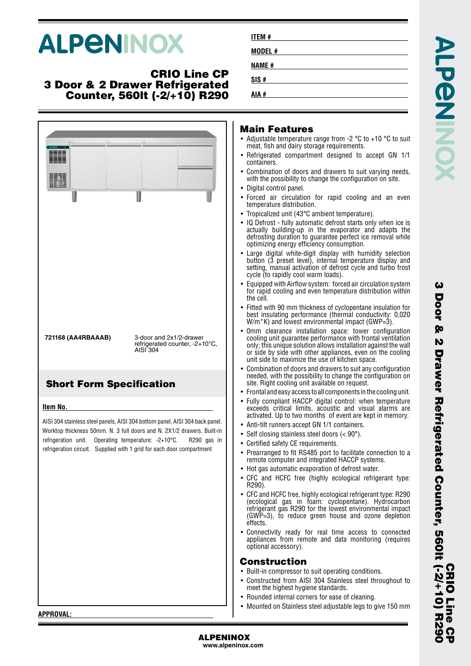# **ALPENINOX**

#### **CRIO Line CP 3 Door & 2 Drawer Refrigerated Counter, 560lt (-2/+10) R290**

| U                               |                                                                                                                                                                                                                                                                                               | <b>Main Featur</b><br>• Adjustable temperat<br>meat, fish and dairy<br>• Refrigerated compa<br>containers.<br>• Combination of doc<br>with the possibility t<br>• Digital control panel<br>• Forced air circulat<br>temperature distribu<br>• Tropicalized unit (43<br>• IQ Defrost - fully au<br>actually building-up<br>defrosting duration<br>optimizing energy e<br>• Large digital white<br>button (3 preset le<br>setting, manual acti<br>cycle (to rapidly cod<br>• Equipped with Airflo<br>for rapid cooling an<br>the cell.<br>• Fitted with 90 mm t<br>best insulating perf<br>W/m*K) and lowest |
|---------------------------------|-----------------------------------------------------------------------------------------------------------------------------------------------------------------------------------------------------------------------------------------------------------------------------------------------|------------------------------------------------------------------------------------------------------------------------------------------------------------------------------------------------------------------------------------------------------------------------------------------------------------------------------------------------------------------------------------------------------------------------------------------------------------------------------------------------------------------------------------------------------------------------------------------------------------|
| 721168 (AA4RBAAAB)              | 3-door and 2x1/2-drawer<br>refrigerated counter, -2+10°C,<br>AISI 304                                                                                                                                                                                                                         | Omm clearance in<br>cooling unit guarant<br>only; this unique sol<br>or side by side with<br>unit side to maximiz<br>• Combination of door                                                                                                                                                                                                                                                                                                                                                                                                                                                                 |
| <b>Short Form Specification</b> |                                                                                                                                                                                                                                                                                               | needed, with the po<br>site. Right cooling u<br>$\bullet$ Frontal and easy accompared                                                                                                                                                                                                                                                                                                                                                                                                                                                                                                                      |
| Item No.<br>refrigeration unit. | AISI 304 stainless steel panels, AISI 304 bottom panel, AISI 304 back panel.<br>Worktop thickness 50mm. N. 3 full doors and N. 2X1/2 drawers. Built-in<br>Operating temperature: -2+10°C.<br>R <sub>290</sub> qas in<br>refrigeration circuit. Supplied with 1 grid for each door compartment | • Fully compliant HA<br>exceeds critical lin<br>activated. Up to two<br>$\bullet$ Anti-tilt runners acc<br>Self closing stainles<br>• Certified safety CE r<br>• Prearranged to fit R<br>remote computer ar<br>• Hot gas automatic e<br>• CFC and HCFC fre<br>R290).<br>• CFC and HCFC free,<br>(ecological gas in<br>refrigerant gas R29<br>$(GWP=3)$ , to reduc<br>effects.<br>• Connectivity ready<br>appliances from re<br>optional accessory)<br><b>Construction</b><br>• Built-in compressor<br>• Constructed from A<br>meet the highest hy                                                          |
| <b>APPROVAL:</b>                |                                                                                                                                                                                                                                                                                               | • Rounded internal co<br>• Mounted on Stainles                                                                                                                                                                                                                                                                                                                                                                                                                                                                                                                                                             |

| <b>ITEM#</b> |  |
|--------------|--|
| MODEL#       |  |
| <b>NAME#</b> |  |
| SIS#         |  |
| AIA #        |  |

#### **Main Features**

- ture range from -2  $^{\circ}$ C to +10  $^{\circ}$ C to suit storage requirements.
- artment designed to accept GN 1/1
- ors and drawers to suit varying needs, to change the configuration on site.
- Digital control panel.
- tion for rapid cooling and an even ution.
- 3°C ambient temperature).
- itomatic defrost starts only when ice is p in the evaporator and adapts the to guarantee perfect ice removal while efficiency consumption.
- Large digital white-digit display with humidity selection button (3 preset level), internal temperature display and ivation of defrost cycle and turbo frost ol warm loads).
- w system: forced air circulation system m system refect an ensemination system.<br>Id even temperature distribution within
- thickness of cyclopentane insulation for formance (thermal conductivity: 0,020 environmental impact (GWP=3).
- stallation space: tower configuration tee performance with frontal ventilation lution allows installation against the wall other appliances, even on the cooling ze the use of kitchen space.
- rs and drawers to suit any configuration ssibility to change the configuration on unit available on request.
- ess to all components in the cooling unit.
- CCP digital control: when temperature mits, acoustic and visual alarms are months of event are kept in memory.
- ept GN 1/1 containers.
- $\text{ss}$  steel doors (< 90°).
- requirements.
- RS485 port to facilitate connection to a nd integrated HACCP systems.
- evaporation of defrost water.
- ee (highly ecological refrigerant type:
- highly ecological refrigerant type: R290 foam: cyclopentane). Hydrocarbon refrigerant gas R290 for the lowest environmental impact ce green house and ozone depletion
- for real time access to connected emote and data monitoring (requires

#### **Construction**

- to suit operating conditions.
- AISI 304 Stainless steel throughout to giene standards.
- orners for ease of cleaning.
- ss steel adjustable legs to give 150 mm

**APPROVAL:**

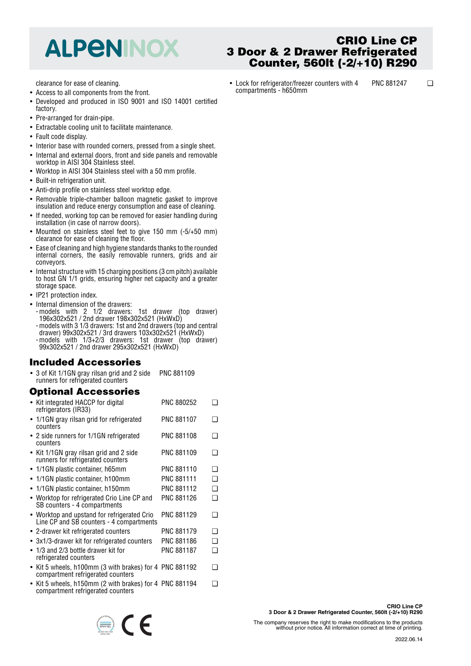## **ALPENINOX**

clearance for ease of cleaning.

- Access to all components from the front.
- • Developed and produced in ISO 9001 and ISO 14001 certified factory.
- Pre-arranged for drain-pipe.
- Extractable cooling unit to facilitate maintenance.
- Fault code display.
- Interior base with rounded corners, pressed from a single sheet.
- • Internal and external doors, front and side panels and removable worktop in AISI 304 Stainless steel.
- Worktop in AISI 304 Stainless steel with a 50 mm profile.
- Built-in refrigeration unit.
- Anti-drip profile on stainless steel worktop edge.
- Removable triple-chamber balloon magnetic gasket to improve insulation and reduce energy consumption and ease of cleaning.
- If needed, working top can be removed for easier handling during installation (in case of narrow doors).
- Mounted on stainless steel feet to give 150 mm (-5/+50 mm) clearance for ease of cleaning the floor.
- • Ease of cleaning and high hygiene standards thanks to the rounded internal corners, the easily removable runners, grids and air conveyors.
- Internal structure with 15 charging positions (3 cm pitch) available to host GN 1/1 grids, ensuring higher net capacity and a greater storage space.
- IP21 protection index.
- Internal dimension of the drawers:
- -models with 2 1/2 drawers: 1st drawer (top drawer) 196x302x521 / 2nd drawer 198x302x521 (HxWxD) -models with 3 1/3 drawers: 1st and 2nd drawers (top and central
- drawer) 99x302x521 / 3rd drawers 103x302x521 (HxWxD) -models with 1/3+2/3 drawers: 1st drawer (top drawer) 99x302x521 / 2nd drawer 295x302x521 (HxWxD)

## **Included Accessories**

• 3 of Kit 1/1GN gray rilsan grid and 2 side runners for refrigerated counters PNC 881109

#### **Optional Accessories**

| • Kit integrated HACCP for digital<br>refrigerators (IR33)                                   | PNC 880252        | ∍   |
|----------------------------------------------------------------------------------------------|-------------------|-----|
| • 1/1GN gray rilsan grid for refrigerated<br>counters                                        | <b>PNC 881107</b> | ∩   |
| • 2 side runners for 1/1GN refrigerated<br>counters                                          | PNC 881108        | ∩   |
| • Kit 1/1GN gray rilsan grid and 2 side<br>runners for refrigerated counters                 | PNC 881109        | - 1 |
| • 1/1GN plastic container, h65mm                                                             | PNC 881110        | ∩   |
| • 1/1GN plastic container, h100mm                                                            | <b>PNC 881111</b> | ❏   |
| 1/1GN plastic container, h150mm<br>$\bullet$                                                 | PNC 881112        | ❏   |
| • Worktop for refrigerated Crio Line CP and<br>SB counters - 4 compartments                  | PNC 881126        | ∩   |
| • Worktop and upstand for refrigerated Crio<br>Line CP and SB counters - 4 compartments      | PNC 881129        | □   |
| • 2-drawer kit refrigerated counters                                                         | PNC 881179        | ❏   |
| • 3x1/3-drawer kit for refrigerated counters                                                 | PNC 881186        | ❏   |
| 1/3 and 2/3 bottle drawer kit for<br>$\bullet$<br>refrigerated counters                      | <b>PNC 881187</b> | ◻   |
| • Kit 5 wheels, h100mm (3 with brakes) for 4 PNC 881192<br>compartment refrigerated counters |                   | ∩   |
| • Kit 5 wheels, h150mm (2 with brakes) for 4 PNC 881194                                      |                   |     |

• Kit 5 wheels, h150mm (2 with brakes) for 4 compartment refrigerated counters

 $\epsilon$ 

## **CRIO Line CP 3 Door & 2 Drawer Refrigerated Counter, 560lt (-2/+10) R290**

• Lock for refrigerator/freezer counters with 4 compartments - h650mm PNC 881247 ❑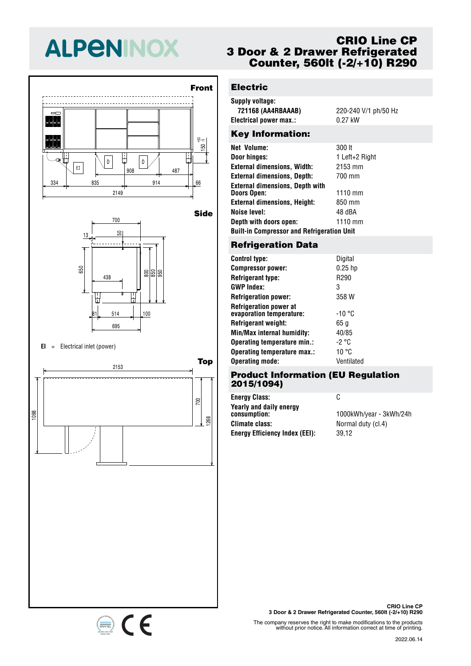# **ALPENINOX**





#### **EI** <sup>=</sup> Electrical inlet (power)

334 835 914 66 <sup>908</sup> <sup>487</sup> EI



## **CRIO Line CP 3 Door & 2 Drawer Refrigerated Counter, 560lt (-2/+10) R290**

## **Electric**

| Supply voltage:        |                      |
|------------------------|----------------------|
| 721168 (AA4RBAAAB)     | 220-240 V/1 ph/50 Hz |
| Electrical power max.: | $0.27$ kW            |
| Kay Information:       |                      |

#### Key Information:

| Net Volume:                                       | 300 lt         |
|---------------------------------------------------|----------------|
| Door hinges:                                      | 1 Left+2 Right |
| <b>External dimensions, Width:</b>                | 2153 mm        |
| <b>External dimensions, Depth:</b>                | 700 mm         |
| <b>External dimensions, Depth with</b>            |                |
| <b>Doors Open:</b>                                | $1110$ mm      |
| <b>External dimensions, Height:</b>               | 850 mm         |
| <b>Noise level:</b>                               | 48 dBA         |
| Depth with doors open:                            | $1110$ mm      |
| <b>Built-in Compressor and Refrigeration Unit</b> |                |

## 50 13 **Refrigeration Data**

| <b>Control type:</b>                                      | Digital          |
|-----------------------------------------------------------|------------------|
| <b>Compressor power:</b>                                  | $0.25$ hp        |
| <b>Refrigerant type:</b>                                  | R <sub>290</sub> |
| <b>GWP Index:</b>                                         | 3                |
| <b>Refrigeration power:</b>                               | 358 W            |
| <b>Refrigeration power at</b><br>evaporation temperature: | $-10 °C$         |
| <b>Refrigerant weight:</b>                                | 65 a             |
| Min/Max internal humidity:                                | 40/85            |
| Operating temperature min.:                               | -2 °C            |
| Operating temperature max.:                               | 10 °C            |
| <b>Operating mode:</b>                                    | Ventilated       |
|                                                           |                  |

#### **Product Information (EU Regulation 2015/1094)**

| <b>Energy Class:</b>                    | C                       |
|-----------------------------------------|-------------------------|
| Yearly and daily energy<br>consumption: | 1000kWh/year - 3kWh/24h |
| Climate class:                          | Normal duty (cl.4)      |
| <b>Energy Efficiency Index (EEI):</b>   | 39.12                   |